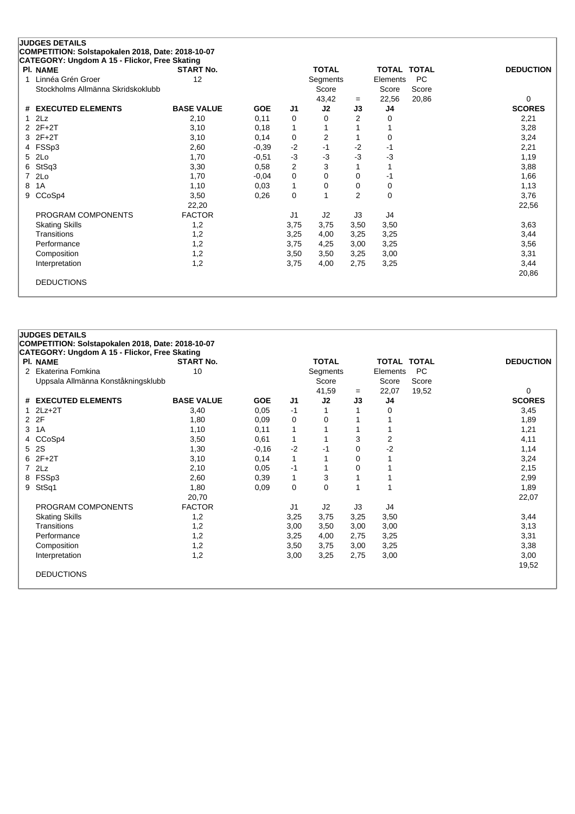|   | <b>JUDGES DETAILS</b>                             |                   |            |                |              |                |                    |           |                  |
|---|---------------------------------------------------|-------------------|------------|----------------|--------------|----------------|--------------------|-----------|------------------|
|   | COMPETITION: Solstapokalen 2018, Date: 2018-10-07 |                   |            |                |              |                |                    |           |                  |
|   | CATEGORY: Ungdom A 15 - Flickor, Free Skating     |                   |            |                |              |                |                    |           |                  |
|   | PI. NAME                                          | <b>START No.</b>  |            |                | <b>TOTAL</b> |                | <b>TOTAL TOTAL</b> |           | <b>DEDUCTION</b> |
|   | Linnéa Grén Groer                                 | 12                |            |                | Segments     |                | Elements           | <b>PC</b> |                  |
|   | Stockholms Allmänna Skridskoklubb                 |                   |            |                | Score        |                | Score              | Score     |                  |
|   |                                                   |                   |            |                | 43,42        | $=$            | 22,56              | 20,86     | 0                |
|   | # EXECUTED ELEMENTS                               | <b>BASE VALUE</b> | <b>GOE</b> | J1             | J2           | J3             | J4                 |           | <b>SCORES</b>    |
|   | 2Lz                                               | 2,10              | 0,11       | 0              | 0            | 2              | $\Omega$           |           | 2,21             |
| 2 | $2F+2T$                                           | 3,10              | 0,18       | 1              |              |                |                    |           | 3,28             |
| 3 | $2F+2T$                                           | 3,10              | 0,14       | 0              | 2            |                | 0                  |           | 3,24             |
|   | 4 FSSp3                                           | 2,60              | $-0,39$    | $-2$           | $-1$         | $-2$           | -1                 |           | 2,21             |
| 5 | 2Lo                                               | 1,70              | $-0.51$    | $-3$           | $-3$         | $-3$           | -3                 |           | 1,19             |
| 6 | StSq3                                             | 3,30              | 0,58       | $\overline{2}$ | 3            |                |                    |           | 3,88             |
|   | 2Lo                                               | 1,70              | $-0,04$    | 0              | 0            | 0              | -1                 |           | 1,66             |
| 8 | 1A                                                | 1,10              | 0,03       | $\mathbf{1}$   | 0            | 0              | 0                  |           | 1,13             |
| 9 | CCoSp4                                            | 3,50              | 0,26       | 0              |              | $\overline{2}$ | 0                  |           | 3,76             |
|   |                                                   | 22,20             |            |                |              |                |                    |           | 22,56            |
|   | PROGRAM COMPONENTS                                | <b>FACTOR</b>     |            | J <sub>1</sub> | J2           | J3             | J4                 |           |                  |
|   | <b>Skating Skills</b>                             | 1,2               |            | 3,75           | 3,75         | 3,50           | 3,50               |           | 3,63             |
|   | Transitions                                       | 1,2               |            | 3,25           | 4,00         | 3,25           | 3,25               |           | 3,44             |
|   | Performance                                       | 1,2               |            | 3,75           | 4,25         | 3,00           | 3,25               |           | 3,56             |
|   | Composition                                       | 1,2               |            | 3,50           | 3,50         | 3,25           | 3,00               |           | 3,31             |
|   | Interpretation                                    | 1,2               |            | 3,75           | 4,00         | 2,75           | 3,25               |           | 3,44             |
|   |                                                   |                   |            |                |              |                |                    |           | 20,86            |
|   | <b>DEDUCTIONS</b>                                 |                   |            |                |              |                |                    |           |                  |
|   |                                                   |                   |            |                |              |                |                    |           |                  |

|                | <b>JUDGES DETAILS</b>                             |                   |            |                |              |      |                    |           |                  |
|----------------|---------------------------------------------------|-------------------|------------|----------------|--------------|------|--------------------|-----------|------------------|
|                | COMPETITION: Solstapokalen 2018, Date: 2018-10-07 |                   |            |                |              |      |                    |           |                  |
|                | CATEGORY: Ungdom A 15 - Flickor, Free Skating     |                   |            |                |              |      |                    |           |                  |
|                | <b>PI. NAME</b>                                   | <b>START No.</b>  |            |                | <b>TOTAL</b> |      | <b>TOTAL TOTAL</b> |           | <b>DEDUCTION</b> |
| 2              | Ekaterina Fomkina                                 | 10                |            |                | Segments     |      | Elements           | <b>PC</b> |                  |
|                | Uppsala Allmänna Konståkningsklubb                |                   |            |                | Score        |      | Score              | Score     |                  |
|                |                                                   |                   |            |                | 41,59        | $=$  | 22,07              | 19,52     | 0                |
|                | # EXECUTED ELEMENTS                               | <b>BASE VALUE</b> | <b>GOE</b> | J1             | J2           | J3   | J4                 |           | <b>SCORES</b>    |
|                | $1$ $2Lz+2T$                                      | 3,40              | 0,05       | -1             |              |      | 0                  |           | 3,45             |
|                | 2 2F                                              | 1,80              | 0,09       | 0              | 0            |      |                    |           | 1,89             |
| 3              | 1A                                                | 1,10              | 0,11       | 1              |              |      |                    |           | 1,21             |
| 4              | CCoSp4                                            | 3,50              | 0,61       | 1              |              | 3    | 2                  |           | 4,11             |
| 5              | <b>2S</b>                                         | 1,30              | $-0,16$    | $-2$           | -1           | 0    | $\overline{2}$     |           | 1,14             |
|                | $62F+2T$                                          | 3,10              | 0,14       | 1              |              | 0    |                    |           | 3,24             |
| $\overline{7}$ | 2Lz                                               | 2,10              | 0,05       | -1             |              | 0    |                    |           | 2,15             |
| 8              | FSSp3                                             | 2,60              | 0,39       | 1              | 3            |      |                    |           | 2,99             |
| 9              | StSq1                                             | 1,80              | 0,09       | 0              | 0            |      | 1                  |           | 1,89             |
|                |                                                   | 20,70             |            |                |              |      |                    |           | 22,07            |
|                | PROGRAM COMPONENTS                                | <b>FACTOR</b>     |            | J <sub>1</sub> | J2           | J3   | J4                 |           |                  |
|                | <b>Skating Skills</b>                             | 1,2               |            | 3,25           | 3,75         | 3,25 | 3,50               |           | 3,44             |
|                | Transitions                                       | 1,2               |            | 3,00           | 3,50         | 3,00 | 3,00               |           | 3,13             |
|                | Performance                                       | 1,2               |            | 3,25           | 4,00         | 2,75 | 3,25               |           | 3,31             |
|                | Composition                                       | 1,2               |            | 3,50           | 3,75         | 3,00 | 3,25               |           | 3,38             |
|                | Interpretation                                    | 1,2               |            | 3,00           | 3,25         | 2,75 | 3,00               |           | 3,00             |
|                |                                                   |                   |            |                |              |      |                    |           | 19,52            |
|                | <b>DEDUCTIONS</b>                                 |                   |            |                |              |      |                    |           |                  |
|                |                                                   |                   |            |                |              |      |                    |           |                  |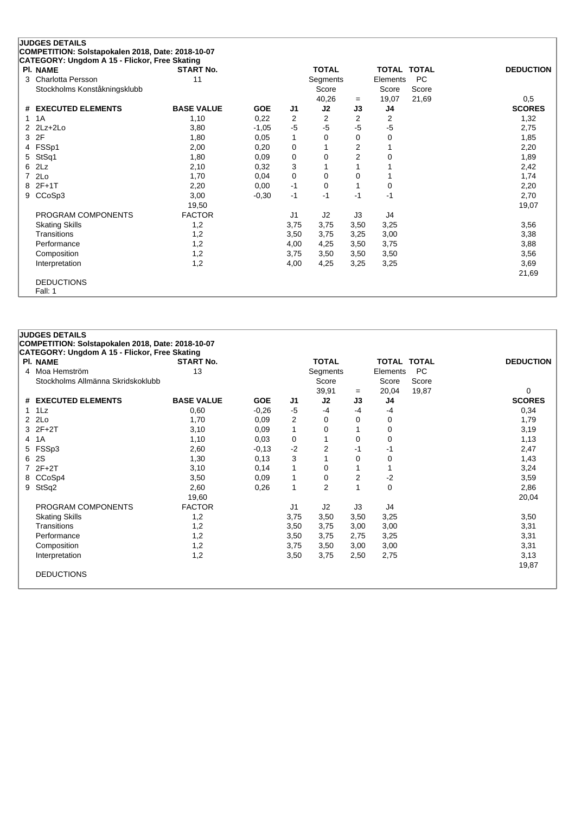|    | <b>JUDGES DETAILS</b>                             |                   |            |                |                |                |                    |           |                  |
|----|---------------------------------------------------|-------------------|------------|----------------|----------------|----------------|--------------------|-----------|------------------|
|    | COMPETITION: Solstapokalen 2018, Date: 2018-10-07 |                   |            |                |                |                |                    |           |                  |
|    | CATEGORY: Ungdom A 15 - Flickor, Free Skating     |                   |            |                |                |                |                    |           |                  |
|    | <b>PI. NAME</b>                                   | <b>START No.</b>  |            |                | <b>TOTAL</b>   |                | <b>TOTAL TOTAL</b> |           | <b>DEDUCTION</b> |
| 3  | Charlotta Persson                                 | 11                |            |                | Segments       |                | Elements           | <b>PC</b> |                  |
|    | Stockholms Konståkningsklubb                      |                   |            |                | Score          |                | Score              | Score     |                  |
|    |                                                   |                   |            |                | 40,26          | $=$            | 19,07              | 21,69     | 0,5              |
| #  | <b>EXECUTED ELEMENTS</b>                          | <b>BASE VALUE</b> | <b>GOE</b> | J1             | J2             | J3             | J4                 |           | <b>SCORES</b>    |
| 1. | 1A                                                | 1,10              | 0,22       | 2              | $\overline{2}$ | $\overline{2}$ | 2                  |           | 1,32             |
| 2  | $2Lz+2Lo$                                         | 3,80              | $-1,05$    | $-5$           | $-5$           | $-5$           | $-5$               |           | 2,75             |
| 3  | 2F                                                | 1,80              | 0,05       | 1              | 0              | $\Omega$       | 0                  |           | 1,85             |
| 4  | FSSp1                                             | 2,00              | 0,20       | 0              |                | 2              |                    |           | 2,20             |
| 5  | StSq1                                             | 1,80              | 0.09       | 0              | 0              | $\overline{2}$ | 0                  |           | 1,89             |
| 6  | 2Lz                                               | 2,10              | 0,32       | 3              |                |                |                    |           | 2,42             |
| 7  | 2Lo                                               | 1,70              | 0,04       | 0              | 0              | 0              |                    |           | 1,74             |
| 8  | $2F+1T$                                           | 2,20              | 0,00       | $-1$           | $\Omega$       |                | 0                  |           | 2,20             |
| 9  | CCoSp3                                            | 3,00              | $-0,30$    | $-1$           | $-1$           | $-1$           | -1                 |           | 2,70             |
|    |                                                   | 19,50             |            |                |                |                |                    |           | 19,07            |
|    | PROGRAM COMPONENTS                                | <b>FACTOR</b>     |            | J <sub>1</sub> | J2             | J3             | J4                 |           |                  |
|    | <b>Skating Skills</b>                             | 1,2               |            | 3,75           | 3,75           | 3,50           | 3,25               |           | 3,56             |
|    | Transitions                                       | 1,2               |            | 3,50           | 3,75           | 3,25           | 3,00               |           | 3,38             |
|    | Performance                                       | 1,2               |            | 4,00           | 4,25           | 3,50           | 3,75               |           | 3,88             |
|    | Composition                                       | 1,2               |            | 3,75           | 3,50           | 3,50           | 3,50               |           | 3,56             |
|    | Interpretation                                    | 1,2               |            | 4,00           | 4,25           | 3,25           | 3,25               |           | 3,69             |
|    |                                                   |                   |            |                |                |                |                    |           | 21,69            |
|    | <b>DEDUCTIONS</b>                                 |                   |            |                |                |                |                    |           |                  |
|    | Fall: 1                                           |                   |            |                |                |                |                    |           |                  |

|                | <b>JUDGES DETAILS</b><br>COMPETITION: Solstapokalen 2018, Date: 2018-10-07<br>CATEGORY: Ungdom A 15 - Flickor, Free Skating |                   |            |                |                |                |                    |           |                  |
|----------------|-----------------------------------------------------------------------------------------------------------------------------|-------------------|------------|----------------|----------------|----------------|--------------------|-----------|------------------|
|                | <b>PI. NAME</b>                                                                                                             | <b>START No.</b>  |            |                | <b>TOTAL</b>   |                | <b>TOTAL TOTAL</b> |           | <b>DEDUCTION</b> |
| $\overline{4}$ | Moa Hemström                                                                                                                | 13                |            |                | Segments       |                | Elements           | <b>PC</b> |                  |
|                | Stockholms Allmänna Skridskoklubb                                                                                           |                   |            |                | Score          |                | Score              | Score     |                  |
|                |                                                                                                                             |                   |            |                | 39,91          | $=$            | 20,04              | 19,87     | 0                |
| #              | <b>EXECUTED ELEMENTS</b>                                                                                                    | <b>BASE VALUE</b> | <b>GOE</b> | J1             | J2             | J3             | J4                 |           | <b>SCORES</b>    |
| $\mathbf{1}$   | 1Lz                                                                                                                         | 0,60              | $-0,26$    | $-5$           | $-4$           | $-4$           | -4                 |           | 0,34             |
| $\overline{2}$ | 2Lo                                                                                                                         | 1,70              | 0,09       | 2              | 0              | 0              | 0                  |           | 1,79             |
|                | $3$ $2F+2T$                                                                                                                 | 3,10              | 0,09       | 1              | $\Omega$       |                | 0                  |           | 3,19             |
| 4              | 1A                                                                                                                          | 1,10              | 0,03       | 0              | 1              | $\Omega$       | 0                  |           | 1,13             |
| 5              | FSSp3                                                                                                                       | 2,60              | $-0,13$    | $-2$           | $\overline{2}$ | -1             | -1                 |           | 2,47             |
| 6              | 2S                                                                                                                          | 1,30              | 0,13       | 3              |                | 0              | 0                  |           | 1,43             |
|                | $72F+2T$                                                                                                                    | 3,10              | 0,14       |                | 0              |                |                    |           | 3,24             |
| 8              | CCoSp4                                                                                                                      | 3,50              | 0,09       | 1              | $\Omega$       | $\overline{2}$ | -2                 |           | 3,59             |
| 9              | StSq2                                                                                                                       | 2,60              | 0,26       | 1              | $\overline{2}$ |                | $\mathbf 0$        |           | 2,86             |
|                |                                                                                                                             | 19,60             |            |                |                |                |                    |           | 20,04            |
|                | PROGRAM COMPONENTS                                                                                                          | <b>FACTOR</b>     |            | J <sub>1</sub> | J2             | J3             | J <sub>4</sub>     |           |                  |
|                | <b>Skating Skills</b>                                                                                                       | 1,2               |            | 3,75           | 3,50           | 3,50           | 3,25               |           | 3,50             |
|                | Transitions                                                                                                                 | 1,2               |            | 3,50           | 3,75           | 3,00           | 3,00               |           | 3,31             |
|                | Performance                                                                                                                 | 1,2               |            | 3,50           | 3,75           | 2,75           | 3,25               |           | 3,31             |
|                | Composition                                                                                                                 | 1,2               |            | 3,75           | 3,50           | 3,00           | 3,00               |           | 3,31             |
|                | Interpretation                                                                                                              | 1,2               |            | 3,50           | 3,75           | 2,50           | 2,75               |           | 3,13             |
|                |                                                                                                                             |                   |            |                |                |                |                    |           | 19,87            |
|                | <b>DEDUCTIONS</b>                                                                                                           |                   |            |                |                |                |                    |           |                  |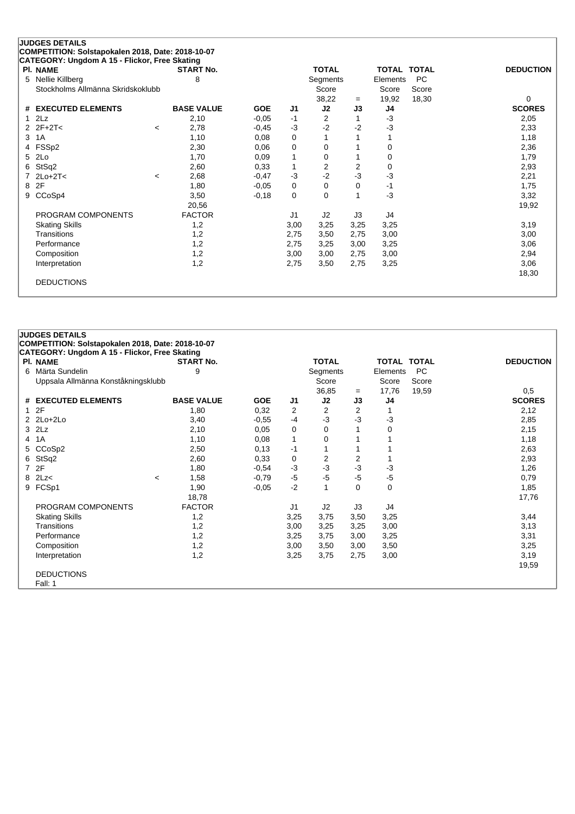|   | <b>JUDGES DETAILS</b>                             |         |                   |            |                |              |      |                    |       |                  |
|---|---------------------------------------------------|---------|-------------------|------------|----------------|--------------|------|--------------------|-------|------------------|
|   | COMPETITION: Solstapokalen 2018, Date: 2018-10-07 |         |                   |            |                |              |      |                    |       |                  |
|   | CATEGORY: Ungdom A 15 - Flickor, Free Skating     |         |                   |            |                |              |      |                    |       |                  |
|   | PI. NAME                                          |         | <b>START No.</b>  |            |                | <b>TOTAL</b> |      | <b>TOTAL TOTAL</b> |       | <b>DEDUCTION</b> |
| 5 | Nellie Killberg                                   |         | 8                 |            |                | Segments     |      | Elements           | PC    |                  |
|   | Stockholms Allmänna Skridskoklubb                 |         |                   |            |                | Score        |      | Score              | Score |                  |
|   |                                                   |         |                   |            |                | 38,22        | $=$  | 19,92              | 18,30 | 0                |
| # | <b>EXECUTED ELEMENTS</b>                          |         | <b>BASE VALUE</b> | <b>GOE</b> | J <sub>1</sub> | J2           | J3   | J4                 |       | <b>SCORES</b>    |
|   | 2Lz                                               |         | 2,10              | $-0.05$    | $-1$           | 2            |      | $-3$               |       | 2,05             |
| 2 | $2F+2T<$                                          | $\prec$ | 2,78              | $-0,45$    | -3             | $-2$         | $-2$ | $-3$               |       | 2,33             |
| 3 | 1A                                                |         | 1,10              | 0,08       | 0              |              |      |                    |       | 1,18             |
| 4 | FSSp2                                             |         | 2,30              | 0,06       | 0              | 0            |      | $\Omega$           |       | 2,36             |
| 5 | 2Lo                                               |         | 1,70              | 0,09       | 1              | 0            |      | 0                  |       | 1,79             |
| 6 | StSq2                                             |         | 2,60              | 0,33       | 1              | 2            | 2    | $\Omega$           |       | 2,93             |
|   | $2Lo+2T<$                                         | $\,<\,$ | 2,68              | $-0,47$    | $-3$           | $-2$         | $-3$ | $-3$               |       | 2,21             |
| 8 | 2F                                                |         | 1,80              | $-0.05$    | 0              | 0            | 0    | -1                 |       | 1,75             |
| 9 | CCoSp4                                            |         | 3,50              | $-0,18$    | 0              | $\Omega$     |      | $-3$               |       | 3,32             |
|   |                                                   |         | 20,56             |            |                |              |      |                    |       | 19,92            |
|   | PROGRAM COMPONENTS                                |         | <b>FACTOR</b>     |            | J <sub>1</sub> | J2           | J3   | J4                 |       |                  |
|   | <b>Skating Skills</b>                             |         | 1,2               |            | 3,00           | 3,25         | 3,25 | 3,25               |       | 3,19             |
|   | Transitions                                       |         | 1,2               |            | 2,75           | 3,50         | 2,75 | 3,00               |       | 3,00             |
|   | Performance                                       |         | 1,2               |            | 2,75           | 3,25         | 3,00 | 3,25               |       | 3,06             |
|   | Composition                                       |         | 1,2               |            | 3,00           | 3,00         | 2,75 | 3,00               |       | 2,94             |
|   | Interpretation                                    |         | 1,2               |            | 2,75           | 3,50         | 2,75 | 3,25               |       | 3,06             |
|   |                                                   |         |                   |            |                |              |      |                    |       | 18,30            |
|   | <b>DEDUCTIONS</b>                                 |         |                   |            |                |              |      |                    |       |                  |
|   |                                                   |         |                   |            |                |              |      |                    |       |                  |

|              | <b>JUDGES DETAILS</b>                                |         |                   |            |                |              |          |                    |           |                  |
|--------------|------------------------------------------------------|---------|-------------------|------------|----------------|--------------|----------|--------------------|-----------|------------------|
|              | COMPETITION: Solstapokalen 2018, Date: 2018-10-07    |         |                   |            |                |              |          |                    |           |                  |
|              | <b>CATEGORY: Ungdom A 15 - Flickor, Free Skating</b> |         |                   |            |                |              |          |                    |           |                  |
|              | PI. NAME                                             |         | <b>START No.</b>  |            |                | <b>TOTAL</b> |          | <b>TOTAL TOTAL</b> |           | <b>DEDUCTION</b> |
| 6.           | Märta Sundelin                                       |         | 9                 |            |                | Segments     |          | Elements           | <b>PC</b> |                  |
|              | Uppsala Allmänna Konståkningsklubb                   |         |                   |            |                | Score        |          | Score              | Score     |                  |
|              |                                                      |         |                   |            |                | 36,85        | $=$      | 17,76              | 19,59     | 0,5              |
|              | # EXECUTED ELEMENTS                                  |         | <b>BASE VALUE</b> | <b>GOE</b> | J1             | J2           | J3       | J4                 |           | <b>SCORES</b>    |
| $\mathbf{1}$ | 2F                                                   |         | 1,80              | 0,32       | 2              | 2            | 2        |                    |           | 2,12             |
|              | $2$ $2$ $Lo+2$ $Lo+2$                                |         | 3,40              | $-0.55$    | $-4$           | -3           | $-3$     | $-3$               |           | 2,85             |
|              | $3$ $2Lz$                                            |         | 2,10              | 0,05       | 0              | 0            |          | 0                  |           | 2,15             |
| 4            | 1A                                                   |         | 1,10              | 0,08       | 1              | 0            |          |                    |           | 1,18             |
| 5.           | CCoSp2                                               |         | 2,50              | 0,13       | $-1$           | 1            |          |                    |           | 2,63             |
| 6            | StSq2                                                |         | 2,60              | 0,33       | 0              | 2            | 2        |                    |           | 2,93             |
| 7            | 2F                                                   |         | 1,80              | $-0.54$    | $-3$           | $-3$         | $-3$     | $-3$               |           | 1,26             |
| 8            | 2Lz<                                                 | $\prec$ | 1,58              | $-0,79$    | $-5$           | $-5$         | $-5$     | $-5$               |           | 0,79             |
| 9            | FCSp1                                                |         | 1,90              | $-0,05$    | $-2$           | $\mathbf{1}$ | $\Omega$ | $\Omega$           |           | 1,85             |
|              |                                                      |         | 18,78             |            |                |              |          |                    |           | 17,76            |
|              | PROGRAM COMPONENTS                                   |         | <b>FACTOR</b>     |            | J <sub>1</sub> | J2           | J3       | J4                 |           |                  |
|              | <b>Skating Skills</b>                                |         | 1,2               |            | 3,25           | 3,75         | 3,50     | 3,25               |           | 3,44             |
|              | Transitions                                          |         | 1,2               |            | 3,00           | 3,25         | 3,25     | 3,00               |           | 3,13             |
|              | Performance                                          |         | 1,2               |            | 3,25           | 3,75         | 3,00     | 3,25               |           | 3,31             |
|              | Composition                                          |         | 1,2               |            | 3,00           | 3,50         | 3,00     | 3,50               |           | 3,25             |
|              | Interpretation                                       |         | 1,2               |            | 3,25           | 3,75         | 2,75     | 3,00               |           | 3,19             |
|              |                                                      |         |                   |            |                |              |          |                    |           | 19,59            |
|              | <b>DEDUCTIONS</b>                                    |         |                   |            |                |              |          |                    |           |                  |
|              | Fall: 1                                              |         |                   |            |                |              |          |                    |           |                  |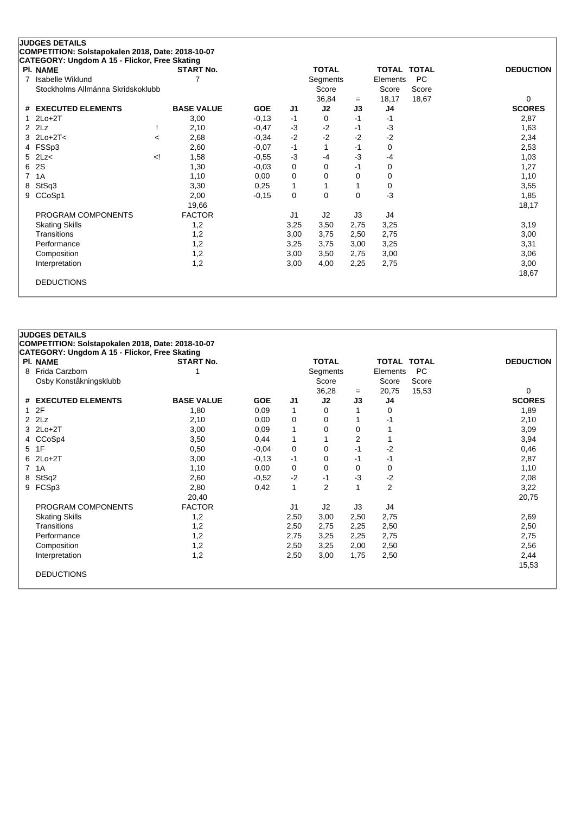| <b>JUDGES DETAILS</b>                                                                                            |                  |
|------------------------------------------------------------------------------------------------------------------|------------------|
| COMPETITION: Solstapokalen 2018, Date: 2018-10-07                                                                |                  |
| CATEGORY: Ungdom A 15 - Flickor, Free Skating                                                                    |                  |
| PI. NAME<br><b>START No.</b><br><b>TOTAL</b><br><b>TOTAL TOTAL</b>                                               | <b>DEDUCTION</b> |
| <b>Isabelle Wiklund</b><br><b>PC</b><br>Segments<br>Elements<br>7                                                |                  |
| Stockholms Allmänna Skridskoklubb<br>Score<br>Score<br>Score                                                     |                  |
| 18,17<br>18,67<br>36,84<br>$=$                                                                                   | 0                |
| <b>EXECUTED ELEMENTS</b><br><b>BASE VALUE</b><br>J2<br><b>GOE</b><br>J <sub>1</sub><br>J3<br>J <sub>4</sub><br># | <b>SCORES</b>    |
| $-0,13$<br>$2Lo+2T$<br>3,00<br>$-1$<br>$-1$<br>0<br>-1                                                           | 2,87             |
| 2Lz<br>$-3$<br>$-2$<br>$-3$<br>2,10<br>2<br>$-0,47$<br>$-1$                                                      | 1,63             |
| $-2$<br>$-2$<br>$-2$<br>$-2$<br>$2Lo+2T<$<br>3<br>2,68<br>$-0,34$<br>$\prec$                                     | 2,34             |
| 4 FSSp3<br>$-1$<br>$-0,07$<br>$-1$<br>0<br>2,60                                                                  | 2,53             |
| 2Lz<<br>$-3$<br>$-3$<br>5<br>1,58<br>$-0,55$<br>!><br>-4<br>$-4$                                                 | 1,03             |
| 2S<br>1,30<br>$-0,03$<br>0<br>$\Omega$<br>$-1$<br>0<br>6                                                         | 1,27             |
| 7<br>1A<br>1,10<br>0<br>0,00<br>0<br>0<br>0                                                                      | 1,10             |
| StSq3<br>3,30<br>0,25<br>$\mathbf{1}$<br>0<br>8                                                                  | 3,55             |
| $-3$<br>CCoSp1<br>$\mathbf 0$<br>2,00<br>$-0,15$<br>$\Omega$<br>$\Omega$<br>9                                    | 1,85             |
| 19,66                                                                                                            | 18,17            |
| <b>FACTOR</b><br>J <sub>1</sub><br>J2<br>J3<br>PROGRAM COMPONENTS<br>J4                                          |                  |
| 3,25<br>3,25<br><b>Skating Skills</b><br>1,2<br>3,50<br>2,75                                                     | 3,19             |
| Transitions<br>1,2<br>3,75<br>2,50<br>2,75<br>3,00                                                               | 3,00             |
| 3,25<br>Performance<br>1,2<br>3,25<br>3,75<br>3,00                                                               | 3,31             |
| 1,2<br>3,00<br>3,00<br>3,50<br>2,75<br>Composition                                                               | 3,06             |
| 1,2<br>3,00<br>2,25<br>2,75<br>Interpretation<br>4,00                                                            | 3,00             |
|                                                                                                                  | 18,67            |
| <b>DEDUCTIONS</b>                                                                                                |                  |
|                                                                                                                  |                  |

|                | <b>JUDGES DETAILS</b>                             |                   |            |                |                |      |                    |       |                  |
|----------------|---------------------------------------------------|-------------------|------------|----------------|----------------|------|--------------------|-------|------------------|
|                | COMPETITION: Solstapokalen 2018, Date: 2018-10-07 |                   |            |                |                |      |                    |       |                  |
|                | CATEGORY: Ungdom A 15 - Flickor, Free Skating     |                   |            |                |                |      |                    |       |                  |
|                | <b>PI. NAME</b>                                   | <b>START No.</b>  |            |                | <b>TOTAL</b>   |      | <b>TOTAL TOTAL</b> |       | <b>DEDUCTION</b> |
|                | 8 Frida Carzborn                                  |                   |            |                | Segments       |      | Elements           | PC    |                  |
|                | Osby Konståkningsklubb                            |                   |            |                | Score          |      | Score              | Score |                  |
|                |                                                   |                   |            |                | 36,28          | $=$  | 20,75              | 15,53 | 0                |
|                | # EXECUTED ELEMENTS                               | <b>BASE VALUE</b> | <b>GOE</b> | J <sub>1</sub> | J2             | J3   | J4                 |       | <b>SCORES</b>    |
|                | 12F                                               | 1,80              | 0,09       | 1              | 0              |      | 0                  |       | 1,89             |
|                | $2$ $2$ $Lz$                                      | 2,10              | 0,00       | 0              | 0              |      | -1                 |       | 2,10             |
|                | 3 2Lo+2T                                          | 3,00              | 0,09       | $\mathbf{1}$   | 0              | 0    |                    |       | 3,09             |
|                | 4 CCoSp4                                          | 3,50              | 0,44       | 1              | 1              | 2    |                    |       | 3,94             |
|                | 5 1F                                              | 0,50              | $-0.04$    | 0              | 0              | $-1$ | $-2$               |       | 0,46             |
|                | $6$ 2Lo+2T                                        | 3,00              | $-0,13$    | -1             | 0              | -1   | -1                 |       | 2,87             |
| $\overline{7}$ | 1A                                                | 1,10              | 0,00       | 0              | 0              | 0    | 0                  |       | 1,10             |
|                | 8 StSq2                                           | 2,60              | $-0,52$    | $-2$           | $-1$           | $-3$ | $-2$               |       | 2,08             |
|                | 9 FCSp3                                           | 2,80              | 0,42       | $\mathbf{1}$   | $\overline{2}$ |      | $\overline{c}$     |       | 3,22             |
|                |                                                   | 20,40             |            |                |                |      |                    |       | 20,75            |
|                | PROGRAM COMPONENTS                                | <b>FACTOR</b>     |            | J <sub>1</sub> | J2             | J3   | J4                 |       |                  |
|                | <b>Skating Skills</b>                             | 1,2               |            | 2,50           | 3,00           | 2,50 | 2,75               |       | 2,69             |
|                | Transitions                                       | 1,2               |            | 2,50           | 2,75           | 2,25 | 2,50               |       | 2,50             |
|                | Performance                                       | 1,2               |            | 2,75           | 3,25           | 2,25 | 2,75               |       | 2,75             |
|                | Composition                                       | 1,2               |            | 2,50           | 3,25           | 2,00 | 2,50               |       | 2,56             |
|                | Interpretation                                    | 1,2               |            | 2,50           | 3,00           | 1,75 | 2,50               |       | 2,44             |
|                |                                                   |                   |            |                |                |      |                    |       | 15,53            |
|                | <b>DEDUCTIONS</b>                                 |                   |            |                |                |      |                    |       |                  |
|                |                                                   |                   |            |                |                |      |                    |       |                  |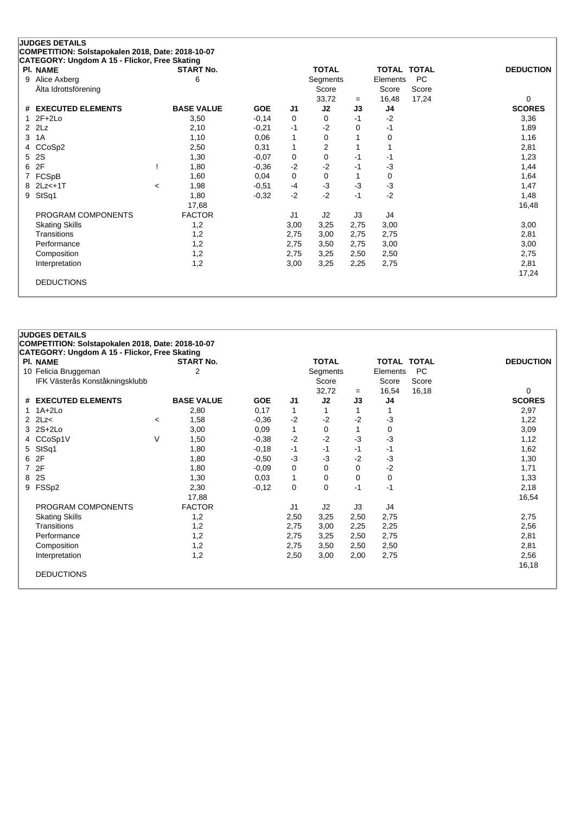|               | <b>JUDGES DETAILS</b>                             |         |                   |            |                |                |          |                    |       |                  |
|---------------|---------------------------------------------------|---------|-------------------|------------|----------------|----------------|----------|--------------------|-------|------------------|
|               | COMPETITION: Solstapokalen 2018, Date: 2018-10-07 |         |                   |            |                |                |          |                    |       |                  |
|               | CATEGORY: Ungdom A 15 - Flickor, Free Skating     |         |                   |            |                |                |          |                    |       |                  |
|               | PI. NAME                                          |         | <b>START No.</b>  |            |                | <b>TOTAL</b>   |          | <b>TOTAL TOTAL</b> |       | <b>DEDUCTION</b> |
| 9             | Alice Axberg                                      |         | 6                 |            |                | Segments       |          | Elements           | PC    |                  |
|               | Alta Idrottsförening                              |         |                   |            |                | Score          |          | Score              | Score |                  |
|               |                                                   |         |                   |            |                | 33,72          | $=$      | 16,48              | 17,24 | 0                |
|               | # EXECUTED ELEMENTS                               |         | <b>BASE VALUE</b> | <b>GOE</b> | J <sub>1</sub> | J2             | J3       | J4                 |       | <b>SCORES</b>    |
|               | $2F+2Lo$                                          |         | 3,50              | $-0,14$    | 0              | 0              | $-1$     | $-2$               |       | 3,36             |
| $\mathcal{P}$ | 2Lz                                               |         | 2,10              | $-0,21$    | $-1$           | $-2$           | $\Omega$ | -1                 |       | 1,89             |
| 3             | 1A                                                |         | 1,10              | 0,06       | 1              | 0              |          | 0                  |       | 1,16             |
| 4             | CCoSp2                                            |         | 2,50              | 0,31       | 1              | $\overline{2}$ |          |                    |       | 2,81             |
| 5             | 2S                                                |         | 1,30              | $-0.07$    | 0              | 0              | $-1$     | -1                 |       | 1,23             |
| 6             | 2F                                                |         | 1,80              | $-0,36$    | $-2$           | $-2$           | $-1$     | $-3$               |       | 1,44             |
|               | FCSpB                                             |         | 1,60              | 0,04       | 0              | 0              |          | 0                  |       | 1,64             |
| 8             | $2Lz<+1T$                                         | $\,<\,$ | 1,98              | $-0,51$    | $-4$           | $-3$           | $-3$     | $-3$               |       | 1,47             |
| 9             | StSq1                                             |         | 1,80              | $-0.32$    | $-2$           | $-2$           | $-1$     | $-2$               |       | 1,48             |
|               |                                                   |         | 17,68             |            |                |                |          |                    |       | 16,48            |
|               | PROGRAM COMPONENTS                                |         | <b>FACTOR</b>     |            | J <sub>1</sub> | J2             | J3       | J4                 |       |                  |
|               | <b>Skating Skills</b>                             |         | 1,2               |            | 3,00           | 3,25           | 2,75     | 3,00               |       | 3,00             |
|               | Transitions                                       |         | 1,2               |            | 2,75           | 3,00           | 2,75     | 2,75               |       | 2,81             |
|               | Performance                                       |         | 1,2               |            | 2,75           | 3,50           | 2,75     | 3,00               |       | 3,00             |
|               | Composition                                       |         | 1,2               |            | 2,75           | 3,25           | 2,50     | 2,50               |       | 2,75             |
|               | Interpretation                                    |         | 1,2               |            | 3,00           | 3,25           | 2,25     | 2,75               |       | 2,81             |
|               |                                                   |         |                   |            |                |                |          |                    |       | 17,24            |
|               | <b>DEDUCTIONS</b>                                 |         |                   |            |                |                |          |                    |       |                  |
|               |                                                   |         |                   |            |                |                |          |                    |       |                  |

|   | <b>JUDGES DETAILS</b>                             |         |                   |            |                |                 |      |                    |       |                  |  |
|---|---------------------------------------------------|---------|-------------------|------------|----------------|-----------------|------|--------------------|-------|------------------|--|
|   | COMPETITION: Solstapokalen 2018, Date: 2018-10-07 |         |                   |            |                |                 |      |                    |       |                  |  |
|   | CATEGORY: Ungdom A 15 - Flickor, Free Skating     |         |                   |            |                |                 |      |                    |       |                  |  |
|   | <b>PI. NAME</b>                                   |         | <b>START No.</b>  |            |                | <b>TOTAL</b>    |      | <b>TOTAL TOTAL</b> |       | <b>DEDUCTION</b> |  |
|   | 10 Felicia Bruggeman                              |         | 2                 |            |                | <b>Segments</b> |      | Elements           | PC    |                  |  |
|   | IFK Västerås Konståkningsklubb                    |         |                   |            |                | Score           |      | Score              | Score |                  |  |
|   |                                                   |         |                   |            |                | 32,72           | $=$  | 16,54              | 16,18 | 0                |  |
|   | # EXECUTED ELEMENTS                               |         | <b>BASE VALUE</b> | <b>GOE</b> | J1             | J2              | J3   | J4                 |       | <b>SCORES</b>    |  |
|   | $1.1A+2Lo$                                        |         | 2,80              | 0,17       | 1              | 1               |      |                    |       | 2,97             |  |
|   | $2$ $2$ $Lz$ <                                    | $\,<\,$ | 1,58              | $-0.36$    | $-2$           | $-2$            | $-2$ | $-3$               |       | 1,22             |  |
|   | 3 2S+2Lo                                          |         | 3,00              | 0.09       | $\mathbf{1}$   | 0               | 1    | 0                  |       | 3,09             |  |
|   | 4 CCoSp1V                                         | V       | 1,50              | $-0,38$    | $-2$           | $-2$            | $-3$ | $-3$               |       | 1,12             |  |
|   | 5 StSq1                                           |         | 1,80              | $-0,18$    | $-1$           | $-1$            | $-1$ | $-1$               |       | 1,62             |  |
|   | 6 2F                                              |         | 1,80              | $-0,50$    | $-3$           | $-3$            | $-2$ | $-3$               |       | 1,30             |  |
|   | 7 2F                                              |         | 1,80              | $-0,09$    | 0              | 0               | 0    | $-2$               |       | 1,71             |  |
| 8 | 2S                                                |         | 1,30              | 0,03       | $\mathbf{1}$   | 0               | 0    | 0                  |       | 1,33             |  |
|   | 9 FSSp2                                           |         | 2,30              | $-0,12$    | 0              | 0               | $-1$ | $-1$               |       | 2,18             |  |
|   |                                                   |         | 17,88             |            |                |                 |      |                    |       | 16,54            |  |
|   | PROGRAM COMPONENTS                                |         | <b>FACTOR</b>     |            | J <sub>1</sub> | J2              | J3   | J4                 |       |                  |  |
|   | <b>Skating Skills</b>                             |         | 1,2               |            | 2,50           | 3,25            | 2,50 | 2,75               |       | 2,75             |  |
|   | Transitions                                       |         | 1,2               |            | 2,75           | 3,00            | 2,25 | 2,25               |       | 2,56             |  |
|   | Performance                                       |         | 1,2               |            | 2,75           | 3,25            | 2,50 | 2,75               |       | 2,81             |  |
|   | Composition                                       |         | 1,2               |            | 2,75           | 3,50            | 2,50 | 2,50               |       | 2,81             |  |
|   | Interpretation                                    |         | 1,2               |            | 2,50           | 3,00            | 2,00 | 2,75               |       | 2,56             |  |
|   |                                                   |         |                   |            |                |                 |      |                    |       | 16,18            |  |
|   | <b>DEDUCTIONS</b>                                 |         |                   |            |                |                 |      |                    |       |                  |  |
|   |                                                   |         |                   |            |                |                 |      |                    |       |                  |  |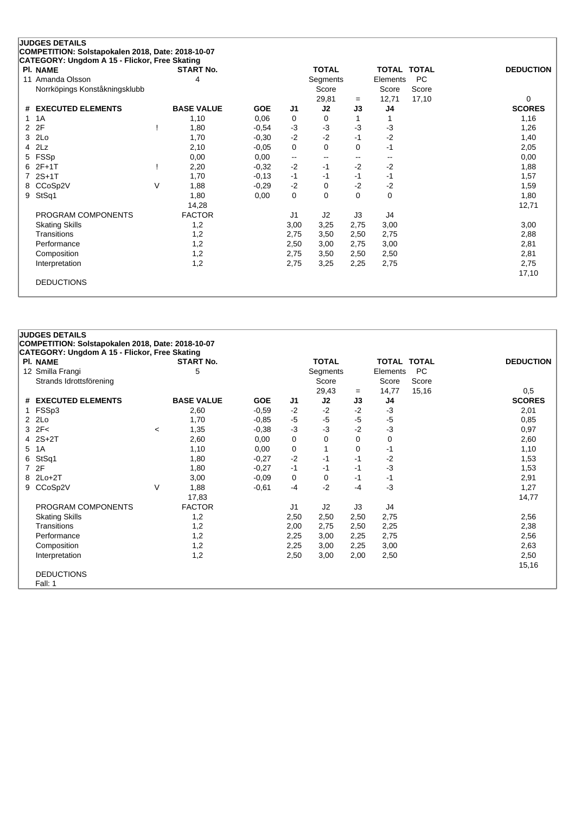|   | <b>JUDGES DETAILS</b>                             |   |                   |            |                          |                          |                          |                    |           |                  |
|---|---------------------------------------------------|---|-------------------|------------|--------------------------|--------------------------|--------------------------|--------------------|-----------|------------------|
|   | COMPETITION: Solstapokalen 2018, Date: 2018-10-07 |   |                   |            |                          |                          |                          |                    |           |                  |
|   | CATEGORY: Ungdom A 15 - Flickor, Free Skating     |   |                   |            |                          |                          |                          |                    |           |                  |
|   | <b>PI. NAME</b>                                   |   | <b>START No.</b>  |            |                          | <b>TOTAL</b>             |                          | <b>TOTAL TOTAL</b> |           | <b>DEDUCTION</b> |
|   | 11 Amanda Olsson                                  |   | 4                 |            |                          | Segments                 |                          | Elements           | <b>PC</b> |                  |
|   | Norrköpings Konståkningsklubb                     |   |                   |            |                          | Score                    |                          | Score              | Score     |                  |
|   |                                                   |   |                   |            |                          | 29,81                    | $=$                      | 12,71              | 17,10     | 0                |
| # | <b>EXECUTED ELEMENTS</b>                          |   | <b>BASE VALUE</b> | <b>GOE</b> | J1                       | J2                       | J3                       | J4                 |           | <b>SCORES</b>    |
| 1 | 1A                                                |   | 1,10              | 0,06       | 0                        | 0                        |                          |                    |           | 1,16             |
| 2 | 2F                                                |   | 1,80              | $-0.54$    | $-3$                     | $-3$                     | $-3$                     | $-3$               |           | 1,26             |
| 3 | 2Lo                                               |   | 1,70              | $-0,30$    | $-2$                     | $-2$                     | $-1$                     | $-2$               |           | 1,40             |
| 4 | 2Lz                                               |   | 2,10              | $-0.05$    | 0                        | 0                        | 0                        | -1                 |           | 2,05             |
| 5 | <b>FSSp</b>                                       |   | 0,00              | 0,00       | $\overline{\phantom{a}}$ | $\overline{\phantom{m}}$ | $\overline{\phantom{a}}$ | $\sim$             |           | 0,00             |
|   | $2F+1T$                                           |   | 2,20              | $-0,32$    | $-2$                     | $-1$                     | $-2$                     | $-2$               |           | 1,88             |
|   | $2S+1T$                                           |   | 1,70              | $-0,13$    | $-1$                     | $-1$                     | $-1$                     | $-1$               |           | 1,57             |
| 8 | CCoSp2V                                           | V | 1,88              | $-0,29$    | $-2$                     | 0                        | $-2$                     | $-2$               |           | 1,59             |
| 9 | StSq1                                             |   | 1,80              | 0,00       | 0                        | $\Omega$                 | $\Omega$                 | 0                  |           | 1,80             |
|   |                                                   |   | 14,28             |            |                          |                          |                          |                    |           | 12,71            |
|   | PROGRAM COMPONENTS                                |   | <b>FACTOR</b>     |            | J <sub>1</sub>           | J2                       | J3                       | J4                 |           |                  |
|   | <b>Skating Skills</b>                             |   | 1,2               |            | 3,00                     | 3,25                     | 2,75                     | 3,00               |           | 3,00             |
|   | Transitions                                       |   | 1,2               |            | 2,75                     | 3,50                     | 2,50                     | 2,75               |           | 2,88             |
|   | Performance                                       |   | 1,2               |            | 2,50                     | 3,00                     | 2,75                     | 3,00               |           | 2,81             |
|   | Composition                                       |   | 1,2               |            | 2,75                     | 3,50                     | 2,50                     | 2,50               |           | 2,81             |
|   | Interpretation                                    |   | 1,2               |            | 2,75                     | 3,25                     | 2,25                     | 2,75               |           | 2,75             |
|   |                                                   |   |                   |            |                          |                          |                          |                    |           | 17,10            |
|   | <b>DEDUCTIONS</b>                                 |   |                   |            |                          |                          |                          |                    |           |                  |
|   |                                                   |   |                   |            |                          |                          |                          |                    |           |                  |

| COMPETITION: Solstapokalen 2018, Date: 2018-10-07<br>CATEGORY: Ungdom A 15 - Flickor, Free Skating<br>PI. NAME<br><b>START No.</b><br><b>TOTAL</b><br><b>TOTAL TOTAL</b><br>5<br><b>PC</b><br>12 Smilla Frangi<br>Segments<br>Elements | <b>DEDUCTION</b><br>0,5 |
|----------------------------------------------------------------------------------------------------------------------------------------------------------------------------------------------------------------------------------------|-------------------------|
|                                                                                                                                                                                                                                        |                         |
|                                                                                                                                                                                                                                        |                         |
|                                                                                                                                                                                                                                        |                         |
| Score<br>Strands Idrottsförening<br>Score<br>Score                                                                                                                                                                                     |                         |
| 29,43<br>14,77<br>15,16<br>$=$                                                                                                                                                                                                         |                         |
| # EXECUTED ELEMENTS<br><b>BASE VALUE</b><br><b>GOE</b><br>J2<br>J3<br>J4<br>J1                                                                                                                                                         | <b>SCORES</b>           |
| $-3$<br>1 FSSp3<br>$-2$<br>$-2$<br>2,60<br>$-0,59$<br>$-2$                                                                                                                                                                             | 2,01                    |
| $-5$<br>$-5$<br>$2$ $2Lo$<br>$-5$<br>$-5$<br>1,70<br>$-0.85$                                                                                                                                                                           | 0,85                    |
| $-3$<br>$3$ $2F<$<br>$-3$<br>$-2$<br>-3<br>1,35<br>$-0,38$<br>$\,<\,$                                                                                                                                                                  | 0,97                    |
| 4 2S+2T<br>0<br>0<br>0<br>2,60<br>0,00<br>$\Omega$                                                                                                                                                                                     | 2,60                    |
| 5 1A<br>$\mathbf 0$<br>$\mathbf{1}$<br>$-1$<br>1,10<br>0,00<br>0                                                                                                                                                                       | 1,10                    |
| 6 StSq1<br>$-2$<br>$-2$<br>1,80<br>$-0,27$<br>$-1$<br>$-1$                                                                                                                                                                             | 1,53                    |
| $-3$<br>7 2F<br>1,80<br>$-1$<br>$-1$<br>$-0,27$<br>$-1$                                                                                                                                                                                | 1,53                    |
| 8 2Lo+2T<br>$-0,09$<br>0<br>0<br>$-1$<br>3,00<br>-1                                                                                                                                                                                    | 2,91                    |
| $-2$<br>9 CCoSp2V<br>$\vee$<br>$-3$<br>1,88<br>$-0.61$<br>$-4$<br>-4                                                                                                                                                                   | 1,27                    |
| 17,83                                                                                                                                                                                                                                  | 14,77                   |
| <b>FACTOR</b><br>PROGRAM COMPONENTS<br>J <sub>1</sub><br>J2<br>J3<br>J4                                                                                                                                                                |                         |
| <b>Skating Skills</b><br>1,2<br>2,50<br>2,50<br>2,75<br>2,50                                                                                                                                                                           | 2,56                    |
| 1,2<br>Transitions<br>2,25<br>2,00<br>2,75<br>2,50                                                                                                                                                                                     | 2,38                    |
| Performance<br>1,2<br>2,25<br>2,75<br>3,00<br>2,25                                                                                                                                                                                     | 2,56                    |
| Composition<br>1,2<br>2,25<br>3,00<br>3,00<br>2,25                                                                                                                                                                                     | 2,63                    |
| 1,2<br>2,50<br>3,00<br>2,50<br>Interpretation<br>2,00                                                                                                                                                                                  | 2,50                    |
|                                                                                                                                                                                                                                        | 15,16                   |
| <b>DEDUCTIONS</b>                                                                                                                                                                                                                      |                         |
| Fall: 1                                                                                                                                                                                                                                |                         |